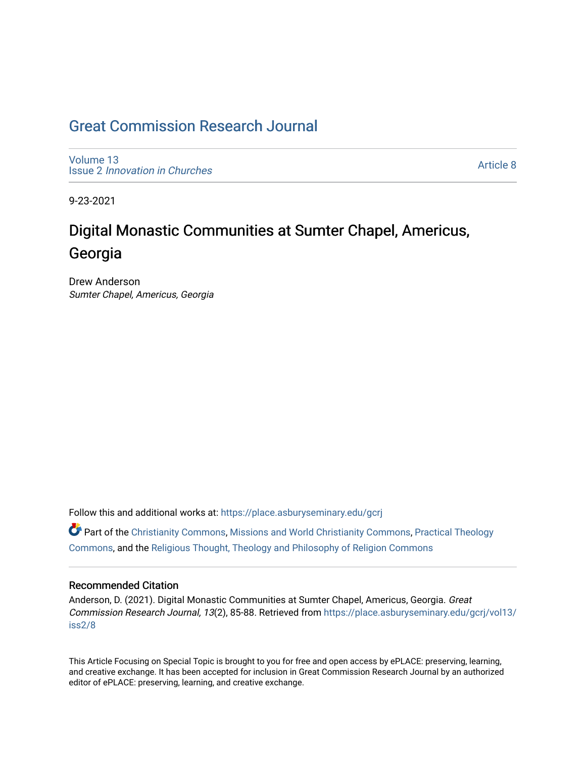## [Great Commission Research Journal](https://place.asburyseminary.edu/gcrj)

[Volume 13](https://place.asburyseminary.edu/gcrj/vol13) Issue 2 [Innovation in Churches](https://place.asburyseminary.edu/gcrj/vol13/iss2)

[Article 8](https://place.asburyseminary.edu/gcrj/vol13/iss2/8) 

9-23-2021

## Digital Monastic Communities at Sumter Chapel, Americus, Georgia

Drew Anderson Sumter Chapel, Americus, Georgia

Follow this and additional works at: [https://place.asburyseminary.edu/gcrj](https://place.asburyseminary.edu/gcrj?utm_source=place.asburyseminary.edu%2Fgcrj%2Fvol13%2Fiss2%2F8&utm_medium=PDF&utm_campaign=PDFCoverPages) 

 $\bullet$  Part of the [Christianity Commons,](http://network.bepress.com/hgg/discipline/1181?utm_source=place.asburyseminary.edu%2Fgcrj%2Fvol13%2Fiss2%2F8&utm_medium=PDF&utm_campaign=PDFCoverPages) [Missions and World Christianity Commons](http://network.bepress.com/hgg/discipline/1187?utm_source=place.asburyseminary.edu%2Fgcrj%2Fvol13%2Fiss2%2F8&utm_medium=PDF&utm_campaign=PDFCoverPages), Practical Theology [Commons](http://network.bepress.com/hgg/discipline/1186?utm_source=place.asburyseminary.edu%2Fgcrj%2Fvol13%2Fiss2%2F8&utm_medium=PDF&utm_campaign=PDFCoverPages), and the [Religious Thought, Theology and Philosophy of Religion Commons](http://network.bepress.com/hgg/discipline/544?utm_source=place.asburyseminary.edu%2Fgcrj%2Fvol13%2Fiss2%2F8&utm_medium=PDF&utm_campaign=PDFCoverPages) 

#### Recommended Citation

Anderson, D. (2021). Digital Monastic Communities at Sumter Chapel, Americus, Georgia. Great Commission Research Journal, 13(2), 85-88. Retrieved from [https://place.asburyseminary.edu/gcrj/vol13/](https://place.asburyseminary.edu/gcrj/vol13/iss2/8?utm_source=place.asburyseminary.edu%2Fgcrj%2Fvol13%2Fiss2%2F8&utm_medium=PDF&utm_campaign=PDFCoverPages) [iss2/8](https://place.asburyseminary.edu/gcrj/vol13/iss2/8?utm_source=place.asburyseminary.edu%2Fgcrj%2Fvol13%2Fiss2%2F8&utm_medium=PDF&utm_campaign=PDFCoverPages)

This Article Focusing on Special Topic is brought to you for free and open access by ePLACE: preserving, learning, and creative exchange. It has been accepted for inclusion in Great Commission Research Journal by an authorized editor of ePLACE: preserving, learning, and creative exchange.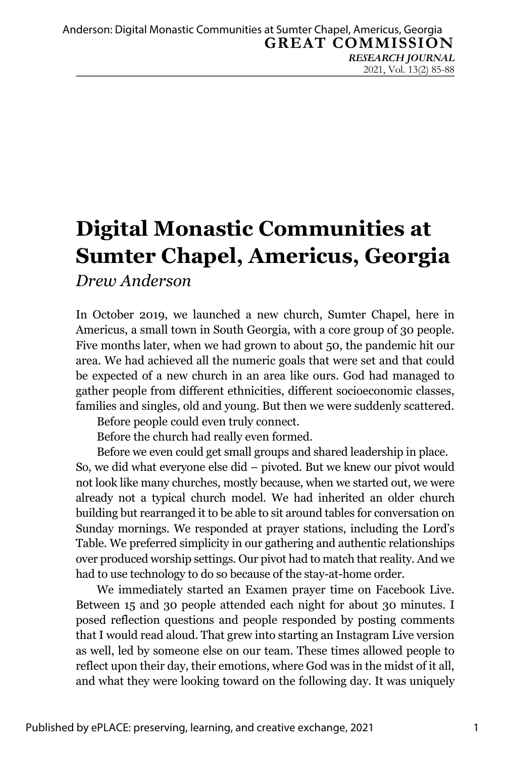# **Digital Monastic Communities at Sumter Chapel, Americus, Georgia**

*Drew Anderson*

In October 2019, we launched a new church, Sumter Chapel, here in Americus, a small town in South Georgia, with a core group of 30 people. Five months later, when we had grown to about 50, the pandemic hit our area. We had achieved all the numeric goals that were set and that could be expected of a new church in an area like ours. God had managed to gather people from different ethnicities, different socioeconomic classes, families and singles, old and young. But then we were suddenly scattered.

Before people could even truly connect.

Before the church had really even formed.

Before we even could get small groups and shared leadership in place.

So, we did what everyone else did – pivoted. But we knew our pivot would not look like many churches, mostly because, when we started out, we were already not a typical church model. We had inherited an older church building but rearranged it to be able to sit around tables for conversation on Sunday mornings. We responded at prayer stations, including the Lord's Table. We preferred simplicity in our gathering and authentic relationships over produced worship settings. Our pivot had to match that reality. And we had to use technology to do so because of the stay-at-home order.

We immediately started an Examen prayer time on Facebook Live. Between 15 and 30 people attended each night for about 30 minutes. I posed reflection questions and people responded by posting comments that I would read aloud. That grew into starting an Instagram Live version as well, led by someone else on our team. These times allowed people to reflect upon their day, their emotions, where God was in the midst of it all, and what they were looking toward on the following day. It was uniquely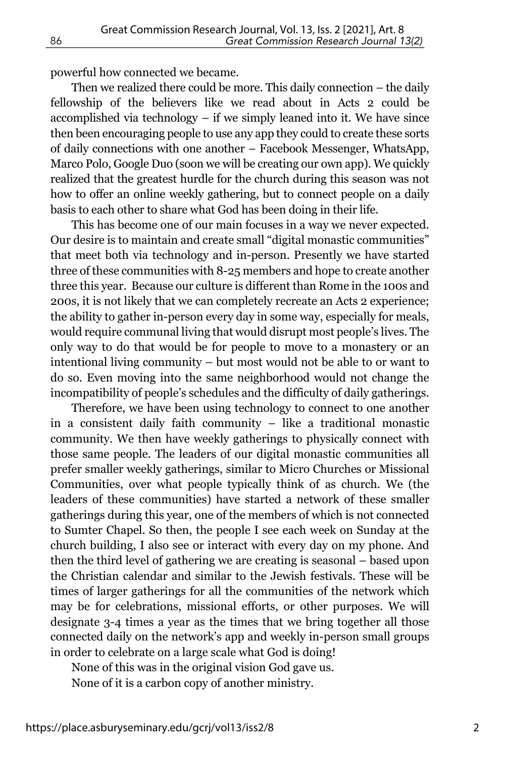powerful how connected we became.

Then we realized there could be more. This daily connection – the daily fellowship of the believers like we read about in Acts 2 could be accomplished via technology – if we simply leaned into it. We have since then been encouraging people to use any app they could to create these sorts of daily connections with one another – Facebook Messenger, WhatsApp, Marco Polo, Google Duo (soon we will be creating our own app). We quickly realized that the greatest hurdle for the church during this season was not how to offer an online weekly gathering, but to connect people on a daily basis to each other to share what God has been doing in their life.

This has become one of our main focuses in a way we never expected. Our desire is to maintain and create small "digital monastic communities" that meet both via technology and in-person. Presently we have started three of these communities with 8-25 members and hope to create another three this year. Because our culture is different than Rome in the 100s and 200s, it is not likely that we can completely recreate an Acts 2 experience; the ability to gather in-person every day in some way, especially for meals, would require communal living that would disrupt most people's lives. The only way to do that would be for people to move to a monastery or an intentional living community – but most would not be able to or want to do so. Even moving into the same neighborhood would not change the incompatibility of people's schedules and the difficulty of daily gatherings.

Therefore, we have been using technology to connect to one another in a consistent daily faith community – like a traditional monastic community. We then have weekly gatherings to physically connect with those same people. The leaders of our digital monastic communities all prefer smaller weekly gatherings, similar to Micro Churches or Missional Communities, over what people typically think of as church. We (the leaders of these communities) have started a network of these smaller gatherings during this year, one of the members of which is not connected to Sumter Chapel. So then, the people I see each week on Sunday at the church building, I also see or interact with every day on my phone. And then the third level of gathering we are creating is seasonal – based upon the Christian calendar and similar to the Jewish festivals. These will be times of larger gatherings for all the communities of the network which may be for celebrations, missional efforts, or other purposes. We will designate 3-4 times a year as the times that we bring together all those connected daily on the network's app and weekly in-person small groups in order to celebrate on a large scale what God is doing!

None of this was in the original vision God gave us.

None of it is a carbon copy of another ministry.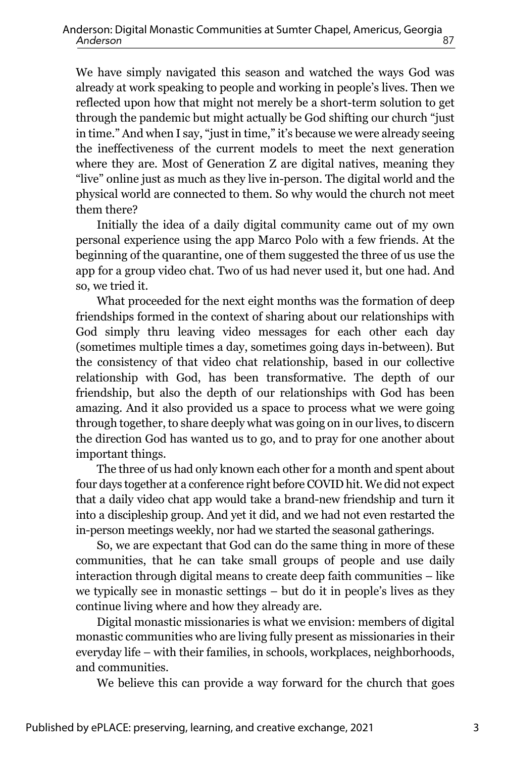We have simply navigated this season and watched the ways God was already at work speaking to people and working in people's lives. Then we reflected upon how that might not merely be a short-term solution to get through the pandemic but might actually be God shifting our church "just in time." And when I say, "just in time," it's because we were already seeing the ineffectiveness of the current models to meet the next generation where they are. Most of Generation Z are digital natives, meaning they "live" online just as much as they live in-person. The digital world and the physical world are connected to them. So why would the church not meet them there?

Initially the idea of a daily digital community came out of my own personal experience using the app Marco Polo with a few friends. At the beginning of the quarantine, one of them suggested the three of us use the app for a group video chat. Two of us had never used it, but one had. And so, we tried it.

What proceeded for the next eight months was the formation of deep friendships formed in the context of sharing about our relationships with God simply thru leaving video messages for each other each day (sometimes multiple times a day, sometimes going days in-between). But the consistency of that video chat relationship, based in our collective relationship with God, has been transformative. The depth of our friendship, but also the depth of our relationships with God has been amazing. And it also provided us a space to process what we were going through together, to share deeply what was going on in our lives, to discern the direction God has wanted us to go, and to pray for one another about important things.

The three of us had only known each other for a month and spent about four days together at a conference right before COVID hit. We did not expect that a daily video chat app would take a brand-new friendship and turn it into a discipleship group. And yet it did, and we had not even restarted the in-person meetings weekly, nor had we started the seasonal gatherings.

So, we are expectant that God can do the same thing in more of these communities, that he can take small groups of people and use daily interaction through digital means to create deep faith communities – like we typically see in monastic settings – but do it in people's lives as they continue living where and how they already are.

Digital monastic missionaries is what we envision: members of digital monastic communities who are living fully present as missionaries in their everyday life – with their families, in schools, workplaces, neighborhoods, and communities.

We believe this can provide a way forward for the church that goes